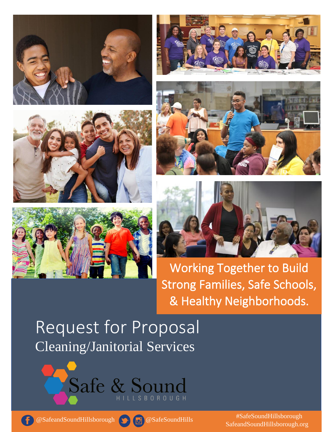











Working Together to Build Strong Families, Safe Schools, & Healthy Neighborhoods.

# Request for Proposal Cleaning/Janitorial Services







@SafeandSoundHillsborough @SafeSoundHills

SafeandSoundHillsborough.org #SafeSoundHillsborough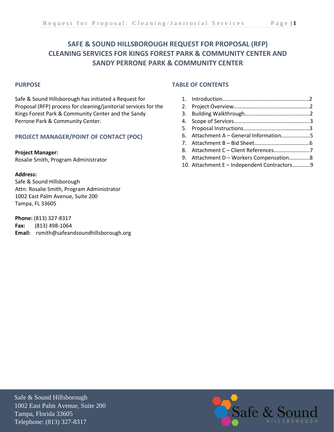# **SAFE & SOUND HILLSBOROUGH REQUEST FOR PROPOSAL (RFP) CLEANING SERVICES FOR KINGS FOREST PARK & COMMUNITY CENTER AND SANDY PERRONE PARK & COMMUNITY CENTER**

## **PURPOSE**

Safe & Sound Hillsborough has initiated a Request for Proposal (RFP) process for cleaning/janitorial services for the Kings Forest Park & Community Center and the Sandy Perrone Park & Community Center.

## **PROJECT MANAGER/POINT OF CONTACT (POC)**

#### **Project Manager:**

Rosalie Smith, Program Administrator

#### **Address:**

Safe & Sound Hillsborough Attn: Rosalie Smith, Program Administrator 1002 East Palm Avenue, Suite 200 Tampa, FL 33605

**Phone:** (813) 327-8317 **Fax:** (813) 498-1064 **Email:** rsmith@safeandsoundhillsborough.org

## **TABLE OF CONTENTS**

| 6. Attachment A - General Information5      |  |
|---------------------------------------------|--|
|                                             |  |
|                                             |  |
| 9. Attachment D - Workers Compensation8     |  |
| 10. Attachment E - Independent Contractors9 |  |

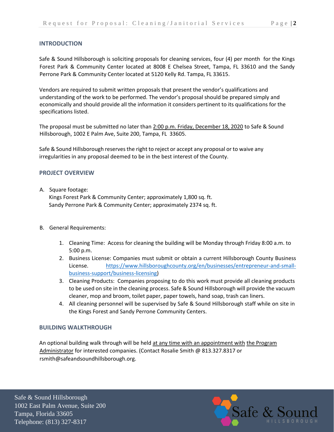## **INTRODUCTION**

Safe & Sound Hillsborough is soliciting proposals for cleaning services, four (4) per month for the Kings Forest Park & Community Center located at 8008 E Chelsea Street, Tampa, FL 33610 and the Sandy Perrone Park & Community Center located at 5120 Kelly Rd. Tampa, FL 33615.

Vendors are required to submit written proposals that present the vendor's qualifications and understanding of the work to be performed. The vendor's proposal should be prepared simply and economically and should provide all the information it considers pertinent to its qualifications for the specifications listed.

The proposal must be submitted no later than 2:00 p.m. Friday, December 18, 2020 to Safe & Sound Hillsborough, 1002 E Palm Ave, Suite 200, Tampa, FL 33605.

Safe & Sound Hillsborough reserves the right to reject or accept any proposal or to waive any irregularities in any proposal deemed to be in the best interest of the County.

## **PROJECT OVERVIEW**

## A. Square footage:

Kings Forest Park & Community Center; approximately 1,800 sq. ft. Sandy Perrone Park & Community Center; approximately 2374 sq. ft.

- B. General Requirements:
	- 1. Cleaning Time: Access for cleaning the building will be Monday through Friday 8:00 a.m. to 5:00 p.m.
	- 2. Business License: Companies must submit or obtain a current Hillsborough County Business License. [https://www.hillsboroughcounty.org/en/businesses/entrepreneur-and-small](https://www.hillsboroughcounty.org/en/businesses/entrepreneur-and-small-business-support/business-licensing)[business-support/business-licensing\)](https://www.hillsboroughcounty.org/en/businesses/entrepreneur-and-small-business-support/business-licensing)
	- 3. Cleaning Products: Companies proposing to do this work must provide all cleaning products to be used on site in the cleaning process. Safe & Sound Hillsborough will provide the vacuum cleaner, mop and broom, toilet paper, paper towels, hand soap, trash can liners.
	- 4. All cleaning personnel will be supervised by Safe & Sound Hillsborough staff while on site in the Kings Forest and Sandy Perrone Community Centers.

## **BUILDING WALKTHROUGH**

An optional building walk through will be held at any time with an appointment with the Program Administrator for interested companies. (Contact Rosalie Smith @ 813.327.8317 or rsmith@safeandsoundhillsborough.org.

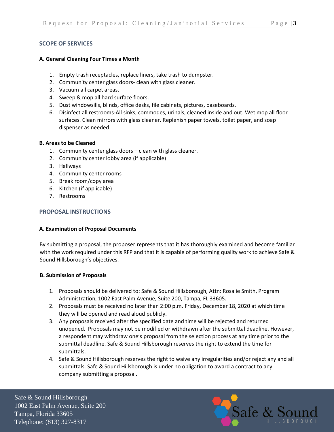## **SCOPE OF SERVICES**

#### **A. General Cleaning Four Times a Month**

- 1. Empty trash receptacles, replace liners, take trash to dumpster.
- 2. Community center glass doors- clean with glass cleaner.
- 3. Vacuum all carpet areas.
- 4. Sweep & mop all hard surface floors.
- 5. Dust windowsills, blinds, office desks, file cabinets, pictures, baseboards.
- 6. Disinfect all restrooms-All sinks, commodes, urinals, cleaned inside and out. Wet mop all floor surfaces. Clean mirrors with glass cleaner. Replenish paper towels, toilet paper, and soap dispenser as needed.

#### **B. Areas to be Cleaned**

- 1. Community center glass doors clean with glass cleaner.
- 2. Community center lobby area (if applicable)
- 3. Hallways
- 4. Community center rooms
- 5. Break room/copy area
- 6. Kitchen (if applicable)
- 7. Restrooms

## **PROPOSAL INSTRUCTIONS**

## **A. Examination of Proposal Documents**

By submitting a proposal, the proposer represents that it has thoroughly examined and become familiar with the work required under this RFP and that it is capable of performing quality work to achieve Safe & Sound Hillsborough's objectives.

## **B. Submission of Proposals**

- 1. Proposals should be delivered to: Safe & Sound Hillsborough, Attn: Rosalie Smith, Program Administration, 1002 East Palm Avenue, Suite 200, Tampa, FL 33605.
- 2. Proposals must be received no later than 2:00 p.m. Friday, December 18, 2020 at which time they will be opened and read aloud publicly.
- 3. Any proposals received after the specified date and time will be rejected and returned unopened. Proposals may not be modified or withdrawn after the submittal deadline. However, a respondent may withdraw one's proposal from the selection process at any time prior to the submittal deadline. Safe & Sound Hillsborough reserves the right to extend the time for submittals.
- 4. Safe & Sound Hillsborough reserves the right to waive any irregularities and/or reject any and all submittals. Safe & Sound Hillsborough is under no obligation to award a contract to any company submitting a proposal.

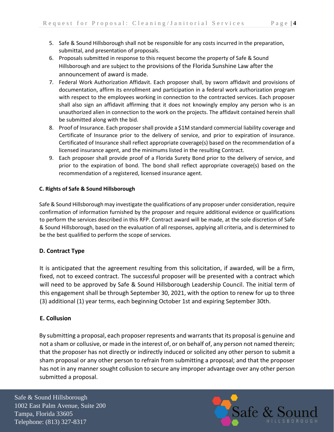- 5. Safe & Sound Hillsborough shall not be responsible for any costs incurred in the preparation, submittal, and presentation of proposals.
- 6. Proposals submitted in response to this request become the property of Safe & Sound Hillsborough and are subject to the provisions of the Florida Sunshine Law after the announcement of award is made.
- 7. Federal Work Authorization Affidavit. Each proposer shall, by sworn affidavit and provisions of documentation, affirm its enrollment and participation in a federal work authorization program with respect to the employees working in connection to the contracted services. Each proposer shall also sign an affidavit affirming that it does not knowingly employ any person who is an unauthorized alien in connection to the work on the projects. The affidavit contained herein shall be submitted along with the bid.
- 8. Proof of Insurance. Each proposer shall provide a \$1M standard commercial liability coverage and Certificate of Insurance prior to the delivery of service, and prior to expiration of insurance. Certificated of Insurance shall reflect appropriate coverage(s) based on the recommendation of a licensed insurance agent, and the minimums listed in the resulting Contract.
- 9. Each proposer shall provide proof of a Florida Surety Bond prior to the delivery of service, and prior to the expiration of bond. The bond shall reflect appropriate coverage(s) based on the recommendation of a registered, licensed insurance agent.

## **C. Rights of Safe & Sound Hillsborough**

Safe & Sound Hillsborough may investigate the qualifications of any proposer under consideration, require confirmation of information furnished by the proposer and require additional evidence or qualifications to perform the services described in this RFP. Contract award will be made, at the sole discretion of Safe & Sound Hillsborough, based on the evaluation of all responses, applying all criteria, and is determined to be the best qualified to perform the scope of services.

## **D. Contract Type**

It is anticipated that the agreement resulting from this solicitation, if awarded, will be a firm, fixed, not to exceed contract. The successful proposer will be presented with a contract which will need to be approved by Safe & Sound Hillsborough Leadership Council. The initial term of this engagement shall be through September 30, 2021, with the option to renew for up to three (3) additional (1) year terms, each beginning October 1st and expiring September 30th.

## **E. Collusion**

By submitting a proposal, each proposer represents and warrants that its proposal is genuine and not a sham or collusive, or made in the interest of, or on behalf of, any person not named therein; that the proposer has not directly or indirectly induced or solicited any other person to submit a sham proposal or any other person to refrain from submitting a proposal; and that the proposer has not in any manner sought collusion to secure any improper advantage over any other person submitted a proposal.

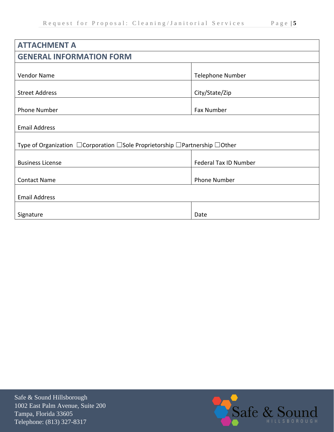| <b>ATTACHMENT A</b>                                                                                |                         |  |  |  |  |
|----------------------------------------------------------------------------------------------------|-------------------------|--|--|--|--|
| <b>GENERAL INFORMATION FORM</b>                                                                    |                         |  |  |  |  |
| <b>Vendor Name</b>                                                                                 | <b>Telephone Number</b> |  |  |  |  |
| <b>Street Address</b>                                                                              | City/State/Zip          |  |  |  |  |
| Phone Number                                                                                       | Fax Number              |  |  |  |  |
| <b>Email Address</b>                                                                               |                         |  |  |  |  |
| Type of Organization $\Box$ Corporation $\Box$ Sole Proprietorship $\Box$ Partnership $\Box$ Other |                         |  |  |  |  |
| <b>Business License</b>                                                                            | Federal Tax ID Number   |  |  |  |  |
| <b>Contact Name</b>                                                                                | <b>Phone Number</b>     |  |  |  |  |
| <b>Email Address</b>                                                                               |                         |  |  |  |  |
| Signature                                                                                          | Date                    |  |  |  |  |

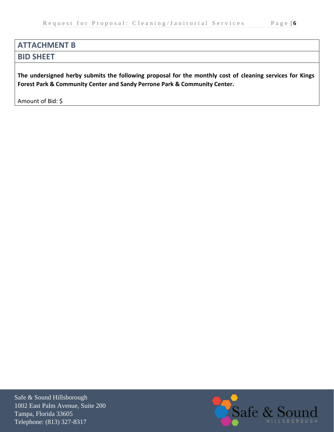# **ATTACHMENT B**

# **BID SHEET**

**The undersigned herby submits the following proposal for the monthly cost of cleaning services for Kings Forest Park & Community Center and Sandy Perrone Park & Community Center.**

Amount of Bid: \$

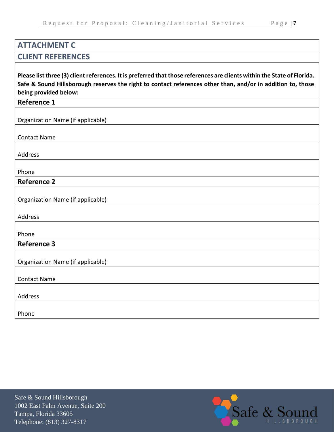# **ATTACHMENT C**

# **CLIENT REFERENCES**

**Please list three (3) client references. It is preferred that those references are clients within the State of Florida. Safe & Sound Hillsborough reserves the right to contact references other than, and/or in addition to, those being provided below:**

## **Reference 1**

Organization Name (if applicable)

Contact Name

Address

Phone

# **Reference 2**

| Organization Name (if applicable) |  |
|-----------------------------------|--|
|-----------------------------------|--|

Address

Phone

# **Reference 3**

Organization Name (if applicable)

Contact Name

Address

Phone

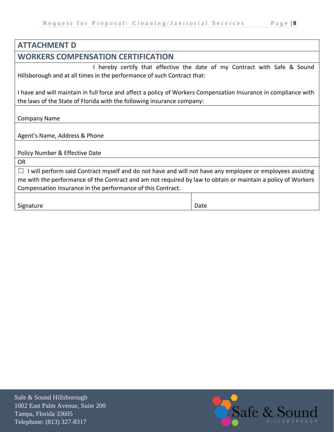# **ATTACHMENT D**

# **WORKERS COMPENSATION CERTIFICATION**

 I hereby certify that effective the date of my Contract with Safe & Sound Hillsborough and at all times in the performance of such Contract that:

I have and will maintain in full force and affect a policy of Workers Compensation Insurance in compliance with the laws of the State of Florida with the following insurance company:

Company Name

Agent's Name, Address & Phone

OR

 $\Box$  I will perform said Contract myself and do not have and will not have any employee or employees assisting me with the performance of the Contract and am not required by law to obtain or maintain a policy of Workers Compensation Insurance in the performance of this Contract.

| Signature | Date |
|-----------|------|
|-----------|------|